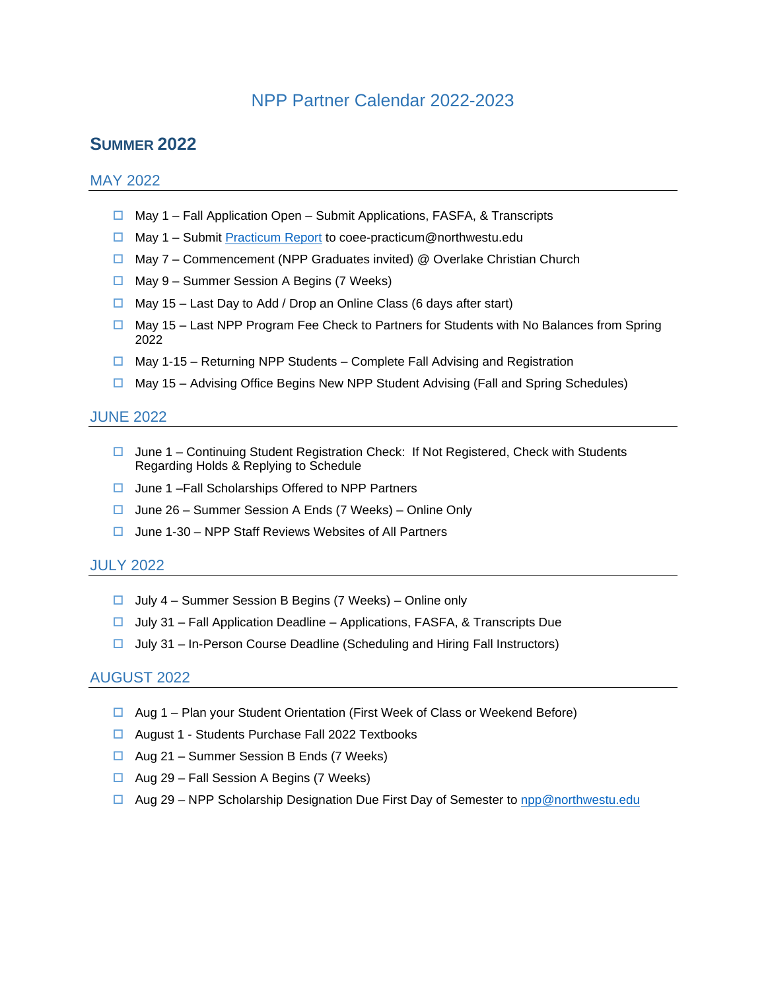## NPP Partner Calendar 2022-2023

## **SUMMER 2022**

#### MAY 2022

- $\Box$  May 1 Fall Application Open Submit Applications, FASFA, & Transcripts
- □ May 1 Submit [Practicum](https://eagle.northwestu.edu/academics/northwest-partnership/practicum-credit-for-internship/) Report to coee-practicum@northwestu.edu
- $\Box$  May 7 Commencement (NPP Graduates invited) @ Overlake Christian Church
- $\Box$  May 9 Summer Session A Begins (7 Weeks)
- $\Box$  May 15 Last Day to Add / Drop an Online Class (6 days after start)
- $\Box$  May 15 Last NPP Program Fee Check to Partners for Students with No Balances from Spring 2022
- $\Box$  May 1-15 Returning NPP Students Complete Fall Advising and Registration
- $\Box$  May 15 Advising Office Begins New NPP Student Advising (Fall and Spring Schedules)

## JUNE 2022

- $\Box$  June 1 Continuing Student Registration Check: If Not Registered, Check with Students Regarding Holds & Replying to Schedule
- $\Box$  June 1 Fall Scholarships Offered to NPP Partners
- $\Box$  June 26 Summer Session A Ends (7 Weeks) Online Only
- $\Box$  June 1-30 NPP Staff Reviews Websites of All Partners

## JULY 2022

- $\Box$  July 4 Summer Session B Begins (7 Weeks) Online only
- $\Box$  July 31 Fall Application Deadline Applications, FASFA, & Transcripts Due
- $\Box$  July 31 In-Person Course Deadline (Scheduling and Hiring Fall Instructors)

### AUGUST 2022

- $\Box$  Aug 1 Plan your Student Orientation (First Week of Class or Weekend Before)
- □ August 1 Students Purchase Fall 2022 Textbooks
- $\Box$  Aug 21 Summer Session B Ends (7 Weeks)
- $\Box$  Aug 29 Fall Session A Begins (7 Weeks)
- $\Box$  Aug 29 NPP Scholarship Designation Due First Day of Semester to [npp@northwestu.edu](mailto:npp@northwestu.edu)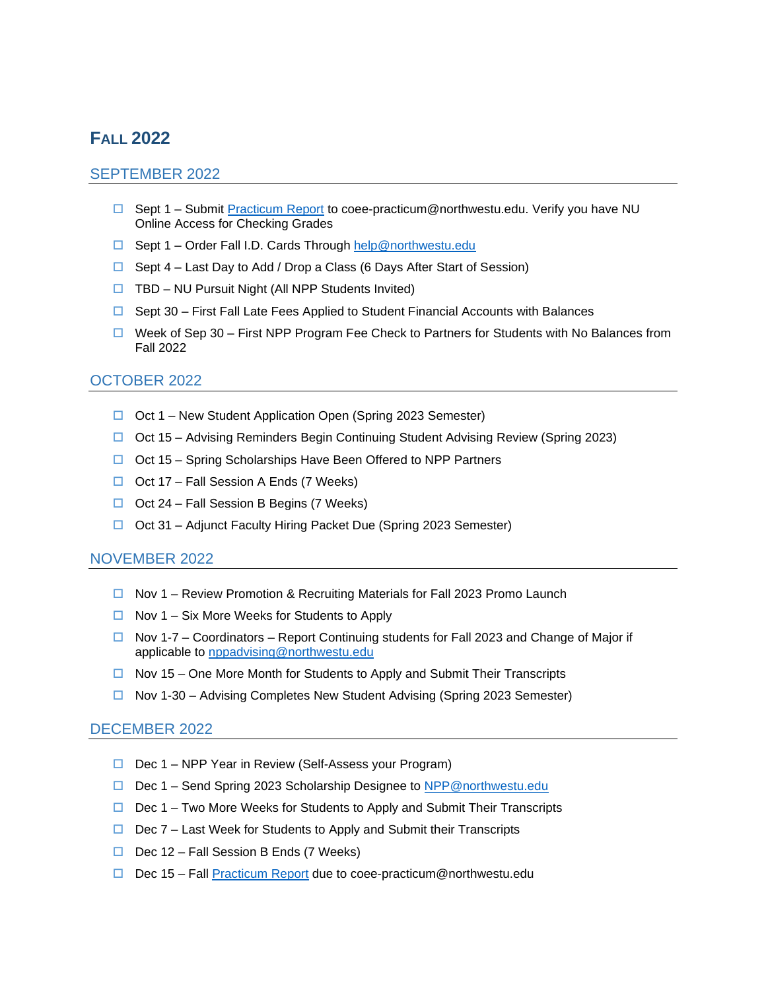# **FALL 2022**

## SEPTEMBER 2022

- $\Box$  Sept 1 Submit [Practicum Report](https://eagle.northwestu.edu/academics/northwest-partnership/practicum-credit-for-internship/) to coee-practicum@northwestu.edu. Verify you have NU Online Access for Checking Grades
- □ Sept 1 Order Fall I.D. Cards Through [help@northwestu.edu](mailto:help@northwestu.edu)
- $\Box$  Sept 4 Last Day to Add / Drop a Class (6 Days After Start of Session)
- $\Box$  TBD NU Pursuit Night (All NPP Students Invited)
- $\Box$  Sept 30 First Fall Late Fees Applied to Student Financial Accounts with Balances
- $\Box$  Week of Sep 30 First NPP Program Fee Check to Partners for Students with No Balances from Fall 2022

## OCTOBER 2022

- $\Box$  Oct 1 New Student Application Open (Spring 2023 Semester)
- $\Box$  Oct 15 Advising Reminders Begin Continuing Student Advising Review (Spring 2023)
- $\Box$  Oct 15 Spring Scholarships Have Been Offered to NPP Partners
- $\Box$  Oct 17 Fall Session A Ends (7 Weeks)
- $\Box$  Oct 24 Fall Session B Begins (7 Weeks)
- $\Box$  Oct 31 Adjunct Faculty Hiring Packet Due (Spring 2023 Semester)

## NOVEMBER 2022

- $\Box$  Nov 1 Review Promotion & Recruiting Materials for Fall 2023 Promo Launch
- $\Box$  Nov 1 Six More Weeks for Students to Apply
- $\Box$  Nov 1-7 Coordinators Report Continuing students for Fall 2023 and Change of Major if applicable to [nppadvising@northwestu.edu](mailto:nppadvising@northwestu.edu)
- $\Box$  Nov 15 One More Month for Students to Apply and Submit Their Transcripts
- $\Box$  Nov 1-30 Advising Completes New Student Advising (Spring 2023 Semester)

## DECEMBER 2022

- $\Box$  Dec 1 NPP Year in Review (Self-Assess your Program)
- □ Dec 1 Send Spring 2023 Scholarship Designee to [NPP@northwestu.edu](mailto:NPP@northwestu.edu)
- $\Box$  Dec 1 Two More Weeks for Students to Apply and Submit Their Transcripts
- $\Box$  Dec 7 Last Week for Students to Apply and Submit their Transcripts
- Dec 12 Fall Session B Ends (7 Weeks)
- $\Box$  Dec 15 Fall [Practicum Report](https://eagle.northwestu.edu/academics/northwest-partnership/practicum-credit-for-internship/) due to coee-practicum@northwestu.edu